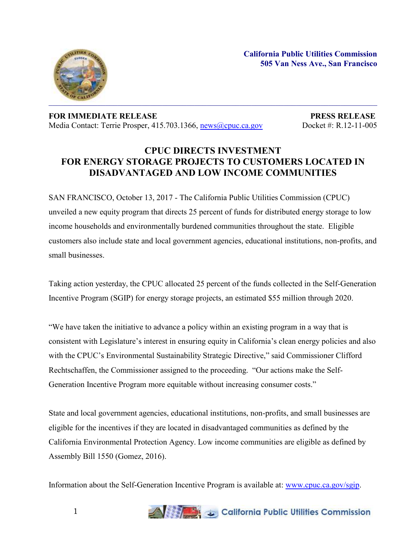**California Public Utilities Commission 505 Van Ness Ave., San Francisco**



**FOR IMMEDIATE RELEASE PRESS RELEASE** Media Contact: Terrie Prosper, 415.703.1366, [news@cpuc.ca.gov](mailto:news@cpuc.ca.gov) Docket #: R.12-11-005

## **CPUC DIRECTS INVESTMENT FOR ENERGY STORAGE PROJECTS TO CUSTOMERS LOCATED IN DISADVANTAGED AND LOW INCOME COMMUNITIES**

SAN FRANCISCO, October 13, 2017 - The California Public Utilities Commission (CPUC) unveiled a new equity program that directs 25 percent of funds for distributed energy storage to low income households and environmentally burdened communities throughout the state. Eligible customers also include state and local government agencies, educational institutions, non-profits, and small businesses.

Taking action yesterday, the CPUC allocated 25 percent of the funds collected in the Self-Generation Incentive Program (SGIP) for energy storage projects, an estimated \$55 million through 2020.

"We have taken the initiative to advance a policy within an existing program in a way that is consistent with Legislature's interest in ensuring equity in California's clean energy policies and also with the CPUC's Environmental Sustainability Strategic Directive," said Commissioner Clifford Rechtschaffen, the Commissioner assigned to the proceeding. "Our actions make the Self-Generation Incentive Program more equitable without increasing consumer costs."

State and local government agencies, educational institutions, non-profits, and small businesses are eligible for the incentives if they are located in disadvantaged communities as defined by the California Environmental Protection Agency. Low income communities are eligible as defined by Assembly Bill 1550 (Gomez, 2016).

Information about the Self-Generation Incentive Program is available at: [www.cpuc.ca.gov/sgip.](http://www.cpuc.ca.gov/sgip)



1